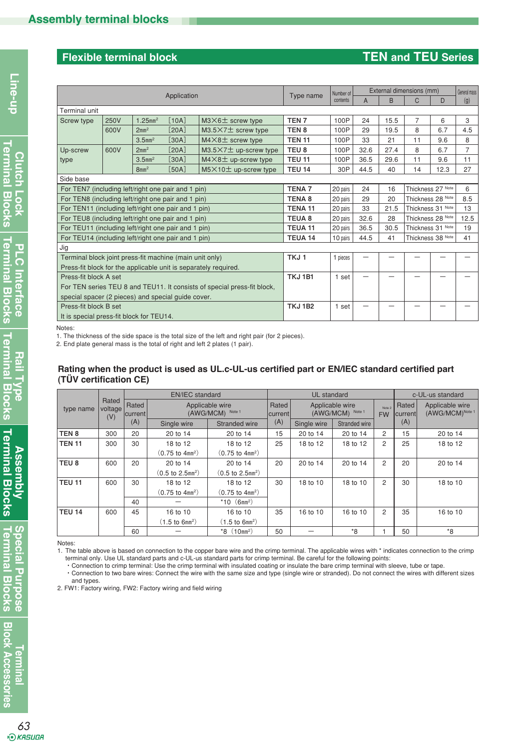# **Flexible terminal block TEN and TEU Series**

|                                                                         | Type name                                          | Number of              | External dimensions (mm) |                                |                  |                   | General mass |      |                   |                   |                |
|-------------------------------------------------------------------------|----------------------------------------------------|------------------------|--------------------------|--------------------------------|------------------|-------------------|--------------|------|-------------------|-------------------|----------------|
|                                                                         | Application                                        |                        |                          |                                |                  |                   | A            | B    | C                 | D                 | (g)            |
| Terminal unit                                                           |                                                    |                        |                          |                                |                  |                   |              |      |                   |                   |                |
| Screw type                                                              | 250V                                               | $1.25$ mm <sup>2</sup> | [10A]                    | $M3\times6$ screw type         | TEN <sub>7</sub> | 100P              | 24           | 15.5 | $\overline{7}$    | 6                 | 3              |
|                                                                         | 600V                                               | 2mm <sup>2</sup>       | [20A]                    | $M3.5\times7±$ screw type      | TEN <sub>8</sub> | 100P              | 29           | 19.5 | 8                 | 6.7               | 4.5            |
|                                                                         |                                                    | $3.5$ mm <sup>2</sup>  | [30A]                    | $M4 \times 8$ ± screw type     | <b>TEN 11</b>    | 100P              | 33           | 21   | 11                | 9.6               | 8              |
| Up-screw                                                                | 600V                                               | 2mm <sup>2</sup>       | [20A]                    | $M3.5\times7\pm$ up-screw type | TEU <sub>8</sub> | 100P              | 32.6         | 27.4 | 8                 | 6.7               | $\overline{7}$ |
| type                                                                    |                                                    | $3.5$ mm <sup>2</sup>  | [30A]                    | $M4\times8$ ± up-screw type    | <b>TEU 11</b>    | 100P              | 36.5         | 29.6 | 11                | 9.6               | 11             |
|                                                                         |                                                    | 8mm <sup>2</sup>       | [50A]                    | $M5\times10+$ up-screw type    | <b>TEU 14</b>    | 30P               | 44.5         | 40   | 14                | 12.3              | 27             |
| Side base                                                               |                                                    |                        |                          |                                |                  |                   |              |      |                   |                   |                |
|                                                                         | For TEN7 (including left/right one pair and 1 pin) |                        |                          |                                |                  | 20 pairs          | 24           | 16   |                   | Thickness 27 Note | 6              |
| For TEN8 (including left/right one pair and 1 pin)                      |                                                    |                        |                          |                                | <b>TENA 8</b>    | 20 pairs          | 29           | 20   |                   | Thickness 28 Note | 8.5            |
| For TEN11 (including left/right one pair and 1 pin)                     | TENA <sub>11</sub>                                 | 20 pairs               | 33                       | 21.5                           |                  | Thickness 31 Note | 13           |      |                   |                   |                |
|                                                                         | For TEU8 (including left/right one pair and 1 pin) |                        |                          |                                |                  |                   | 32.6         | 28   |                   | Thickness 28 Note | 12.5           |
| For TEU11 (including left/right one pair and 1 pin)                     |                                                    |                        |                          |                                | <b>TEUA 11</b>   | 20 pairs          | 36.5         | 30.5 | Thickness 31 Note |                   | 19             |
| For TEU14 (including left/right one pair and 1 pin)                     |                                                    |                        |                          |                                | TEUA 14          | 10 pairs          | 44.5         | 41   |                   | Thickness 38 Note | 41             |
| Jig                                                                     |                                                    |                        |                          |                                |                  |                   |              |      |                   |                   |                |
| Terminal block joint press-fit machine (main unit only)                 |                                                    |                        |                          |                                | TKJ <sub>1</sub> | 1 pieces          |              |      |                   |                   |                |
| Press-fit block for the applicable unit is separately required.         |                                                    |                        |                          |                                |                  |                   |              |      |                   |                   |                |
| Press-fit block A set                                                   |                                                    |                        |                          |                                | <b>TKJ 1B1</b>   | 1 set             |              |      |                   |                   |                |
| For TEN series TEU 8 and TEU11. It consists of special press-fit block, |                                                    |                        |                          |                                |                  |                   |              |      |                   |                   |                |
| special spacer (2 pieces) and special guide cover.                      |                                                    |                        |                          |                                |                  |                   |              |      |                   |                   |                |
| Press-fit block B set                                                   |                                                    |                        |                          |                                | <b>TKJ1B2</b>    | 1 set             |              |      |                   |                   |                |
|                                                                         | It is special press-fit block for TEU14.           |                        |                          |                                |                  |                   |              |      |                   |                   |                |

Notes:

1. The thickness of the side space is the total size of the left and right pair (for 2 pieces).

2. End plate general mass is the total of right and left 2 plates (1 pair).

#### **Rating when the product is used as UL.c-UL-us certified part or EN/IEC standard certified part (TÜV certification CE)**

|                  |                                               |     | <b>EN/IEC</b> standard                 |                                     | UL standard |                                                                                     |               |                | c-UL-us standard |                                    |  |
|------------------|-----------------------------------------------|-----|----------------------------------------|-------------------------------------|-------------|-------------------------------------------------------------------------------------|---------------|----------------|------------------|------------------------------------|--|
| type name        | Rated<br>Rated<br>voltage<br> current <br>(V) |     | Applicable wire<br>Note 1<br>(AWG/MCM) |                                     |             | Applicable wire<br>Rated<br>Note 2<br>Note 1<br>(AWG/MCM)<br> current <br><b>FW</b> |               |                | Rated<br>current | Applicable wire<br>(AWG/MCM)Note 1 |  |
|                  |                                               | (A) | Single wire                            | Stranded wire                       | (A)         | Single wire                                                                         | Stranded wire |                | (A)              |                                    |  |
| TEN <sub>8</sub> | 300                                           | 20  | 20 to 14                               | 20 to 14                            | 15          | 20 to 14                                                                            | 20 to 14      | 2              | 15               | 20 to 14                           |  |
| <b>TEN 11</b>    | 300                                           | 30  | 18 to 12                               | 18 to 12                            | 25          | 18 to 12                                                                            | 18 to 12      | $\overline{c}$ | 25               | 18 to 12                           |  |
|                  |                                               |     | $(0.75 \text{ to } 4 \text{mm}^2)$     | $(0.75 \text{ to } 4 \text{mm}^2)$  |             |                                                                                     |               |                |                  |                                    |  |
| TEU <sub>8</sub> | 600                                           | 20  | 20 to 14                               | 20 to 14                            | 20          | 20 to 14                                                                            | 20 to 14      | 2              | 20               | 20 to 14                           |  |
|                  |                                               |     | $(0.5 \text{ to } 2.5 \text{mm}^2)$    | $(0.5 \text{ to } 2.5 \text{mm}^2)$ |             |                                                                                     |               |                |                  |                                    |  |
| <b>TEU 11</b>    | 600                                           | 30  | 18 to 12                               | 18 to 12                            | 30          | 18 to 10                                                                            | 18 to 10      | $\overline{c}$ | 30               | 18 to 10                           |  |
|                  |                                               |     | $(0.75 \text{ to } 4 \text{mm}^2)$     | $(0.75 \text{ to } 4 \text{mm}^2)$  |             |                                                                                     |               |                |                  |                                    |  |
|                  |                                               | 40  |                                        | *10 $(6mm^2)$                       |             |                                                                                     |               |                |                  |                                    |  |
| <b>TEU 14</b>    | 600                                           | 45  | 16 to 10                               | 16 to 10                            | 35          | 16 to 10                                                                            | 16 to 10      | $\overline{c}$ | 35               | 16 to 10                           |  |
|                  |                                               |     | $(1.5 \text{ to } 6 \text{mm}^2)$      | $(1.5 \text{ to } 6 \text{mm}^2)$   |             |                                                                                     |               |                |                  |                                    |  |
|                  |                                               | 60  |                                        | $*8$ (10mm <sup>2</sup> )           | 50          |                                                                                     | *8            |                | 50               | $*8$                               |  |

Notes:

1. The table above is based on connection to the copper bare wire and the crimp terminal. The applicable wires with \* indicates connection to the crimp terminal only. Use UL standard parts and c-UL-us standard parts for crimp terminal. Be careful for the following points:

・Connection to crimp terminal: Use the crimp terminal with insulated coating or insulate the bare crimp terminal with sleeve, tube or tape.

 ・Connection to two bare wires: Connect the wire with the same size and type (single wire or stranded). Do not connect the wires with different sizes and types.

2. FW1: Factory wiring, FW2: Factory wiring and field wiring

**Terminal Blocks Special Purpose**

**Special Purpose<br>Terminal Blocks**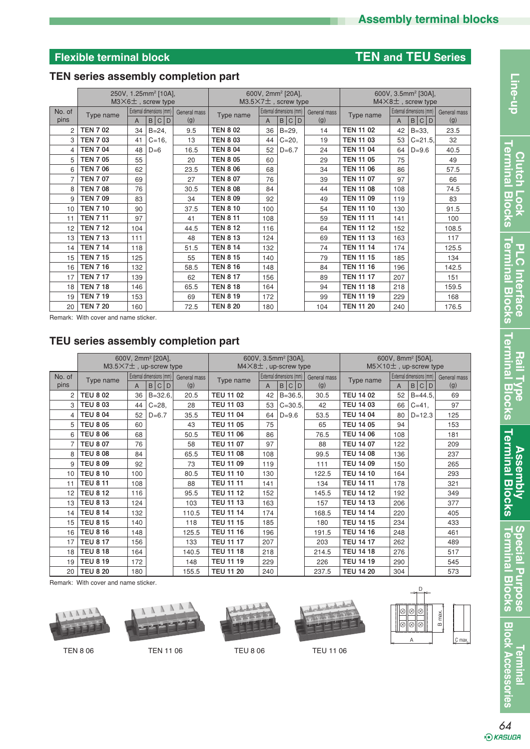# **Flexible terminal block TEN and TEU Series**

# **TEN series assembly completion part**

|        | 250V, 1.25mm <sup>2</sup> [10A],<br>$M3\times 6$ $\pm$ , screw type |     |                                          | 600V, 2mm <sup>2</sup> [20A],<br>$M3.5\times7+$ , screw type |                 |                          |           | 600V, 3.5mm <sup>2</sup> [30A],<br>$M4\times 8$ ±, screw type |                  |                          |            |              |
|--------|---------------------------------------------------------------------|-----|------------------------------------------|--------------------------------------------------------------|-----------------|--------------------------|-----------|---------------------------------------------------------------|------------------|--------------------------|------------|--------------|
| No. of | Type name                                                           |     | External dimensions (mm)<br>General mass |                                                              | Type name       | External dimensions (mm) |           | General mass                                                  | Type name        | External dimensions (mm) |            | General mass |
| pins   |                                                                     | A   | B C D                                    | (g)                                                          |                 | A                        | B C D     | (g)                                                           |                  | A                        | B<br>C D   | (g)          |
| 2      | <b>TEN 702</b>                                                      | 34  | $B = 24,$                                | 9.5                                                          | <b>TEN 8 02</b> | 36                       | $B = 29,$ | 14                                                            | <b>TEN 11 02</b> | 42                       | $B = 33,$  | 23.5         |
| 3      | <b>TEN 703</b>                                                      | 41  | $C = 16$                                 | 13                                                           | <b>TEN 8 03</b> | 44                       | $C = 20$  | 19                                                            | <b>TEN 11 03</b> | 53                       | $C = 21.5$ | 32           |
| 4      | <b>TEN 7 04</b>                                                     | 48  | $D=6$                                    | 16.5                                                         | <b>TEN 8 04</b> | 52                       | $D=6.7$   | 24                                                            | <b>TEN 11 04</b> | 64                       | $D = 9.6$  | 40.5         |
| 5      | <b>TEN 7 05</b>                                                     | 55  |                                          | 20                                                           | <b>TEN 8 05</b> | 60                       |           | 29                                                            | <b>TEN 11 05</b> | 75                       |            | 49           |
| 6      | <b>TEN 7 06</b>                                                     | 62  |                                          | 23.5                                                         | <b>TEN 8 06</b> | 68                       |           | 34                                                            | <b>TEN 11 06</b> | 86                       |            | 57.5         |
| 7      | <b>TEN 707</b>                                                      | 69  |                                          | 27                                                           | <b>TEN 8 07</b> | 76                       |           | 39                                                            | <b>TEN 11 07</b> | 97                       |            | 66           |
| 8      | <b>TEN 708</b>                                                      | 76  |                                          | 30.5                                                         | <b>TEN 8 08</b> | 84                       |           | 44                                                            | <b>TEN 11 08</b> | 108                      |            | 74.5         |
| 9      | <b>TEN 709</b>                                                      | 83  |                                          | 34                                                           | <b>TEN 8 09</b> | 92                       |           | 49                                                            | <b>TEN 11 09</b> | 119                      |            | 83           |
| 10     | <b>TEN 7 10</b>                                                     | 90  |                                          | 37.5                                                         | <b>TEN 8 10</b> | 100                      |           | 54                                                            | <b>TEN 11 10</b> | 130                      |            | 91.5         |
| 11     | <b>TEN 7 11</b>                                                     | 97  |                                          | 41                                                           | <b>TEN 8 11</b> | 108                      |           | 59                                                            | <b>TEN 11 11</b> | 141                      |            | 100          |
| 12     | <b>TEN 712</b>                                                      | 104 |                                          | 44.5                                                         | <b>TEN 8 12</b> | 116                      |           | 64                                                            | <b>TEN 11 12</b> | 152                      |            | 108.5        |
| 13     | <b>TEN 713</b>                                                      | 111 |                                          | 48                                                           | <b>TEN 8 13</b> | 124                      |           | 69                                                            | <b>TEN 11 13</b> | 163                      |            | 117          |
| 14     | <b>TEN 7 14</b>                                                     | 118 |                                          | 51.5                                                         | <b>TEN 8 14</b> | 132                      |           | 74                                                            | <b>TEN 11 14</b> | 174                      |            | 125.5        |
| 15     | <b>TEN 7 15</b>                                                     | 125 |                                          | 55                                                           | <b>TEN 8 15</b> | 140                      |           | 79                                                            | <b>TEN 11 15</b> | 185                      |            | 134          |
| 16     | <b>TEN 716</b>                                                      | 132 |                                          | 58.5                                                         | <b>TEN 8 16</b> | 148                      |           | 84                                                            | <b>TEN 11 16</b> | 196                      |            | 142.5        |
| 17     | <b>TEN 7 17</b>                                                     | 139 |                                          | 62                                                           | <b>TEN 8 17</b> | 156                      |           | 89                                                            | <b>TEN 11 17</b> | 207                      |            | 151          |
| 18     | <b>TEN 7 18</b>                                                     | 146 |                                          | 65.5                                                         | <b>TEN 8 18</b> | 164                      |           | 94                                                            | <b>TEN 11 18</b> | 218                      |            | 159.5        |
| 19     | <b>TEN 7 19</b>                                                     | 153 |                                          | 69                                                           | <b>TEN 8 19</b> | 172                      |           | 99                                                            | <b>TEN 11 19</b> | 229                      |            | 168          |
| 20     | <b>TEN 7 20</b>                                                     | 160 |                                          | 72.5                                                         | <b>TEN 8 20</b> | 180                      |           | 104                                                           | <b>TEN 11 20</b> | 240                      |            | 176.5        |

Remark: With cover and name sticker.

# **TEU series assembly completion part**

|                 | 600V, 2mm <sup>2</sup> [20A],<br>$M3.5\times7+$ , up-screw type |     |                                     |                     | 600V, 3.5mm <sup>2</sup> [30A],<br>$M4\times8$ <sup><math>\pm</math></sup> , up-screw type |     |                                   | 600V, 8mm <sup>2</sup> [50A].<br>$M5\times10+$ , up-screw type |                  |     |                                        |                     |
|-----------------|-----------------------------------------------------------------|-----|-------------------------------------|---------------------|--------------------------------------------------------------------------------------------|-----|-----------------------------------|----------------------------------------------------------------|------------------|-----|----------------------------------------|---------------------|
| No. of<br>pins  | Type name                                                       | A   | External dimensions (mm)  <br>B C D | General mass<br>(g) | Type name                                                                                  | A   | External dimensions (mm)<br>B C D | General mass<br>(g)                                            | Type name        | A   | External dimensions (mm)<br><b>BCD</b> | General mass<br>(g) |
| 2               | <b>TEU 8 02</b>                                                 | 36  | $B = 32.6$                          | 20.5                | <b>TEU 11 02</b>                                                                           | 42  | $B = 36.5$                        | 30.5                                                           | <b>TEU 14 02</b> | 52  | $B = 44.5$                             | 69                  |
| 3               | <b>TEU 8 03</b>                                                 | 44  | $C = 28,$                           | 28                  | <b>TEU 11 03</b>                                                                           | 53  | $C = 30.5$                        | 42                                                             | <b>TEU 14 03</b> | 66  | $C = 41$ ,                             | 97                  |
| 4               | <b>TEU 8 04</b>                                                 | 52  | $D=6.7$                             | 35.5                | <b>TEU 11 04</b>                                                                           | 64  | $D = 9.6$                         | 53.5                                                           | <b>TEU 14 04</b> | 80  | $D = 12.3$                             | 125                 |
| 5               | <b>TEU 8 05</b>                                                 | 60  |                                     | 43                  | <b>TEU 11 05</b>                                                                           | 75  |                                   | 65                                                             | <b>TEU 14 05</b> | 94  |                                        | 153                 |
| 6               | <b>TEU 8 06</b>                                                 | 68  |                                     | 50.5                | <b>TEU 11 06</b>                                                                           | 86  |                                   | 76.5                                                           | <b>TEU 14 06</b> | 108 |                                        | 181                 |
|                 | <b>TEU 8 07</b>                                                 | 76  |                                     | 58                  | <b>TEU 11 07</b>                                                                           | 97  |                                   | 88                                                             | <b>TEU 14 07</b> | 122 |                                        | 209                 |
| 8               | <b>TEU 8 08</b>                                                 | 84  |                                     | 65.5                | <b>TEU 11 08</b>                                                                           | 108 |                                   | 99.5                                                           | <b>TEU 14 08</b> | 136 |                                        | 237                 |
| 9               | <b>TEU 8 09</b>                                                 | 92  |                                     | 73                  | <b>TEU 11 09</b>                                                                           | 119 |                                   | 111                                                            | <b>TEU 14 09</b> | 150 |                                        | 265                 |
| 10              | <b>TEU 8 10</b>                                                 | 100 |                                     | 80.5                | <b>TEU 11 10</b>                                                                           | 130 |                                   | 122.5                                                          | <b>TEU 14 10</b> | 164 |                                        | 293                 |
| 11              | <b>TEU 8 11</b>                                                 | 108 |                                     | 88                  | <b>TEU 11 11</b>                                                                           | 141 |                                   | 134                                                            | <b>TEU 14 11</b> | 178 |                                        | 321                 |
| 12              | <b>TEU 8 12</b>                                                 | 116 |                                     | 95.5                | <b>TEU 11 12</b>                                                                           | 152 |                                   | 145.5                                                          | <b>TEU 14 12</b> | 192 |                                        | 349                 |
| 13              | <b>TEU 813</b>                                                  | 124 |                                     | 103                 | <b>TEU 11 13</b>                                                                           | 163 |                                   | 157                                                            | <b>TEU 14 13</b> | 206 |                                        | 377                 |
| 14              | <b>TEU 8 14</b>                                                 | 132 |                                     | 110.5               | <b>TEU 11 14</b>                                                                           | 174 |                                   | 168.5                                                          | <b>TEU 14 14</b> | 220 |                                        | 405                 |
| 15              | <b>TEU 8 15</b>                                                 | 140 |                                     | 118                 | <b>TEU 11 15</b>                                                                           | 185 |                                   | 180                                                            | <b>TEU 14 15</b> | 234 |                                        | 433                 |
| 16              | <b>TEU 8 16</b>                                                 | 148 |                                     | 125.5               | <b>TEU 11 16</b>                                                                           | 196 |                                   | 191.5                                                          | <b>TEU 14 16</b> | 248 |                                        | 461                 |
| 17              | <b>TEU 8 17</b>                                                 | 156 |                                     | 133                 | <b>TEU 11 17</b>                                                                           | 207 |                                   | 203                                                            | <b>TEU 14 17</b> | 262 |                                        | 489                 |
| 18              | <b>TEU 8 18</b>                                                 | 164 |                                     | 140.5               | <b>TEU 11 18</b>                                                                           | 218 |                                   | 214.5                                                          | <b>TEU 14 18</b> | 276 |                                        | 517                 |
| 19              | <b>TEU 8 19</b>                                                 | 172 |                                     | 148                 | <b>TEU 11 19</b>                                                                           | 229 |                                   | 226                                                            | <b>TEU 14 19</b> | 290 |                                        | 545                 |
| 20 <sup>1</sup> | <b>TEU 8 20</b>                                                 | 180 |                                     | 155.5               | <b>TEU 11 20</b>                                                                           | 240 |                                   | 237.5                                                          | <b>TEU 14 20</b> | 304 |                                        | 573                 |

Remark: With cover and name sticker.













Callen le